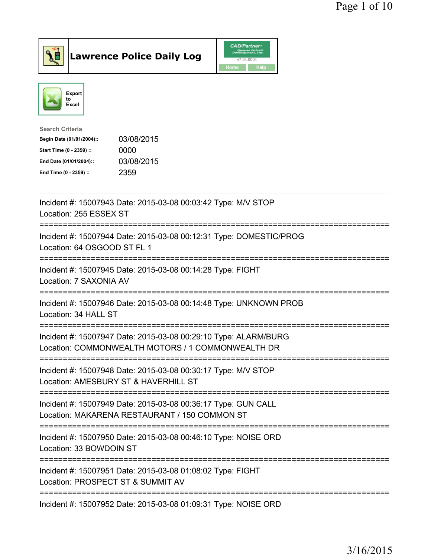



| <b>Search Criteria</b>    |            |
|---------------------------|------------|
| Begin Date (01/01/2004):: | 03/08/2015 |
| Start Time (0 - 2359) ::  | 0000       |
| End Date (01/01/2004)::   | 03/08/2015 |
| End Time (0 - 2359) ::    | 2359       |
|                           |            |

| Incident #: 15007943 Date: 2015-03-08 00:03:42 Type: M/V STOP<br>Location: 255 ESSEX ST<br>____________________________<br>===================================== |
|------------------------------------------------------------------------------------------------------------------------------------------------------------------|
| Incident #: 15007944 Date: 2015-03-08 00:12:31 Type: DOMESTIC/PROG<br>Location: 64 OSGOOD ST FL 1                                                                |
| Incident #: 15007945 Date: 2015-03-08 00:14:28 Type: FIGHT<br>Location: 7 SAXONIA AV                                                                             |
| Incident #: 15007946 Date: 2015-03-08 00:14:48 Type: UNKNOWN PROB<br>Location: 34 HALL ST                                                                        |
| Incident #: 15007947 Date: 2015-03-08 00:29:10 Type: ALARM/BURG<br>Location: COMMONWEALTH MOTORS / 1 COMMONWEALTH DR                                             |
| Incident #: 15007948 Date: 2015-03-08 00:30:17 Type: M/V STOP<br>Location: AMESBURY ST & HAVERHILL ST                                                            |
| Incident #: 15007949 Date: 2015-03-08 00:36:17 Type: GUN CALL<br>Location: MAKARENA RESTAURANT / 150 COMMON ST                                                   |
| -----------------------<br>Incident #: 15007950 Date: 2015-03-08 00:46:10 Type: NOISE ORD<br>Location: 33 BOWDOIN ST                                             |
| Incident #: 15007951 Date: 2015-03-08 01:08:02 Type: FIGHT<br>Location: PROSPECT ST & SUMMIT AV                                                                  |
| Incident #: 15007952 Date: 2015-03-08 01:09:31 Type: NOISE ORD                                                                                                   |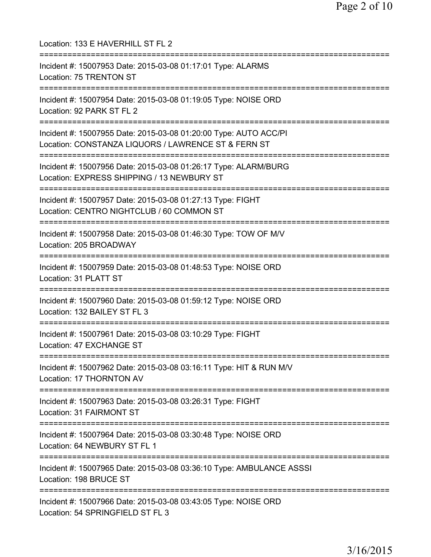Location: 133 E HAVERHILL ST FL 2 =========================================================================== Incident #: 15007953 Date: 2015-03-08 01:17:01 Type: ALARMS Location: 75 TRENTON ST =========================================================================== Incident #: 15007954 Date: 2015-03-08 01:19:05 Type: NOISE ORD Location: 92 PARK ST FL 2 =========================================================================== Incident #: 15007955 Date: 2015-03-08 01:20:00 Type: AUTO ACC/PI Location: CONSTANZA LIQUORS / LAWRENCE ST & FERN ST =========================================================================== Incident #: 15007956 Date: 2015-03-08 01:26:17 Type: ALARM/BURG Location: EXPRESS SHIPPING / 13 NEWBURY ST =========================================================================== Incident #: 15007957 Date: 2015-03-08 01:27:13 Type: FIGHT Location: CENTRO NIGHTCLUB / 60 COMMON ST =========================================================================== Incident #: 15007958 Date: 2015-03-08 01:46:30 Type: TOW OF M/V Location: 205 BROADWAY =========================================================================== Incident #: 15007959 Date: 2015-03-08 01:48:53 Type: NOISE ORD Location: 31 PLATT ST =========================================================================== Incident #: 15007960 Date: 2015-03-08 01:59:12 Type: NOISE ORD Location: 132 BAILEY ST FL 3 =========================================================================== Incident #: 15007961 Date: 2015-03-08 03:10:29 Type: FIGHT Location: 47 EXCHANGE ST =========================================================================== Incident #: 15007962 Date: 2015-03-08 03:16:11 Type: HIT & RUN M/V Location: 17 THORNTON AV =========================================================================== Incident #: 15007963 Date: 2015-03-08 03:26:31 Type: FIGHT Location: 31 FAIRMONT ST =========================================================================== Incident #: 15007964 Date: 2015-03-08 03:30:48 Type: NOISE ORD Location: 64 NEWBURY ST FL 1 =========================================================================== Incident #: 15007965 Date: 2015-03-08 03:36:10 Type: AMBULANCE ASSSI Location: 198 BRUCE ST =========================================================================== Incident #: 15007966 Date: 2015-03-08 03:43:05 Type: NOISE ORD Location: 54 SPRINGFIELD ST FL 3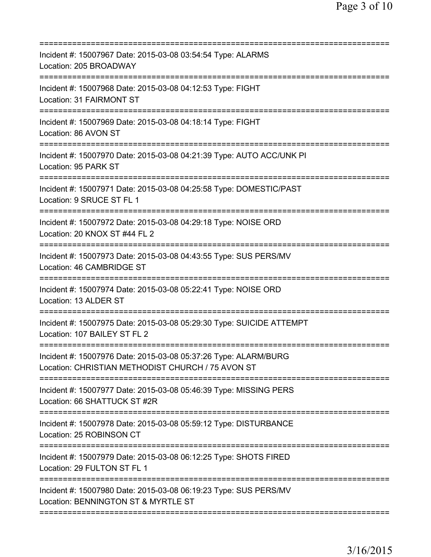| Incident #: 15007967 Date: 2015-03-08 03:54:54 Type: ALARMS<br>Location: 205 BROADWAY                                 |
|-----------------------------------------------------------------------------------------------------------------------|
| Incident #: 15007968 Date: 2015-03-08 04:12:53 Type: FIGHT<br>Location: 31 FAIRMONT ST                                |
| Incident #: 15007969 Date: 2015-03-08 04:18:14 Type: FIGHT<br>Location: 86 AVON ST                                    |
| Incident #: 15007970 Date: 2015-03-08 04:21:39 Type: AUTO ACC/UNK PI<br>Location: 95 PARK ST                          |
| Incident #: 15007971 Date: 2015-03-08 04:25:58 Type: DOMESTIC/PAST<br>Location: 9 SRUCE ST FL 1                       |
| Incident #: 15007972 Date: 2015-03-08 04:29:18 Type: NOISE ORD<br>Location: 20 KNOX ST #44 FL 2                       |
| Incident #: 15007973 Date: 2015-03-08 04:43:55 Type: SUS PERS/MV<br>Location: 46 CAMBRIDGE ST                         |
| Incident #: 15007974 Date: 2015-03-08 05:22:41 Type: NOISE ORD<br>Location: 13 ALDER ST                               |
| Incident #: 15007975 Date: 2015-03-08 05:29:30 Type: SUICIDE ATTEMPT<br>Location: 107 BAILEY ST FL 2<br>:============ |
| Incident #: 15007976 Date: 2015-03-08 05:37:26 Type: ALARM/BURG<br>Location: CHRISTIAN METHODIST CHURCH / 75 AVON ST  |
| Incident #: 15007977 Date: 2015-03-08 05:46:39 Type: MISSING PERS<br>Location: 66 SHATTUCK ST #2R                     |
| Incident #: 15007978 Date: 2015-03-08 05:59:12 Type: DISTURBANCE<br>Location: 25 ROBINSON CT                          |
| Incident #: 15007979 Date: 2015-03-08 06:12:25 Type: SHOTS FIRED<br>Location: 29 FULTON ST FL 1                       |
| Incident #: 15007980 Date: 2015-03-08 06:19:23 Type: SUS PERS/MV<br>Location: BENNINGTON ST & MYRTLE ST               |
|                                                                                                                       |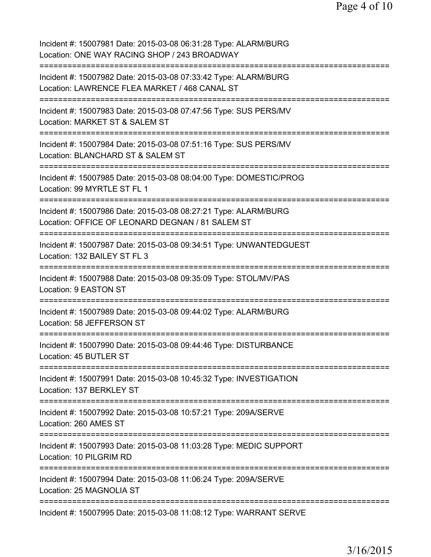| Incident #: 15007981 Date: 2015-03-08 06:31:28 Type: ALARM/BURG<br>Location: ONE WAY RACING SHOP / 243 BROADWAY     |
|---------------------------------------------------------------------------------------------------------------------|
| Incident #: 15007982 Date: 2015-03-08 07:33:42 Type: ALARM/BURG<br>Location: LAWRENCE FLEA MARKET / 468 CANAL ST    |
| Incident #: 15007983 Date: 2015-03-08 07:47:56 Type: SUS PERS/MV<br>Location: MARKET ST & SALEM ST                  |
| Incident #: 15007984 Date: 2015-03-08 07:51:16 Type: SUS PERS/MV<br>Location: BLANCHARD ST & SALEM ST               |
| Incident #: 15007985 Date: 2015-03-08 08:04:00 Type: DOMESTIC/PROG<br>Location: 99 MYRTLE ST FL 1                   |
| Incident #: 15007986 Date: 2015-03-08 08:27:21 Type: ALARM/BURG<br>Location: OFFICE OF LEONARD DEGNAN / 81 SALEM ST |
| Incident #: 15007987 Date: 2015-03-08 09:34:51 Type: UNWANTEDGUEST<br>Location: 132 BAILEY ST FL 3                  |
| Incident #: 15007988 Date: 2015-03-08 09:35:09 Type: STOL/MV/PAS<br>Location: 9 EASTON ST                           |
| Incident #: 15007989 Date: 2015-03-08 09:44:02 Type: ALARM/BURG<br>Location: 58 JEFFERSON ST                        |
| Incident #: 15007990 Date: 2015-03-08 09:44:46 Type: DISTURBANCE<br>Location: 45 BUTLER ST                          |
| Incident #: 15007991 Date: 2015-03-08 10:45:32 Type: INVESTIGATION<br>Location: 137 BERKLEY ST                      |
| Incident #: 15007992 Date: 2015-03-08 10:57:21 Type: 209A/SERVE<br>Location: 260 AMES ST                            |
| Incident #: 15007993 Date: 2015-03-08 11:03:28 Type: MEDIC SUPPORT<br>Location: 10 PILGRIM RD                       |
| Incident #: 15007994 Date: 2015-03-08 11:06:24 Type: 209A/SERVE<br>Location: 25 MAGNOLIA ST                         |
| Incident #: 15007995 Date: 2015-03-08 11:08:12 Type: WARRANT SERVE                                                  |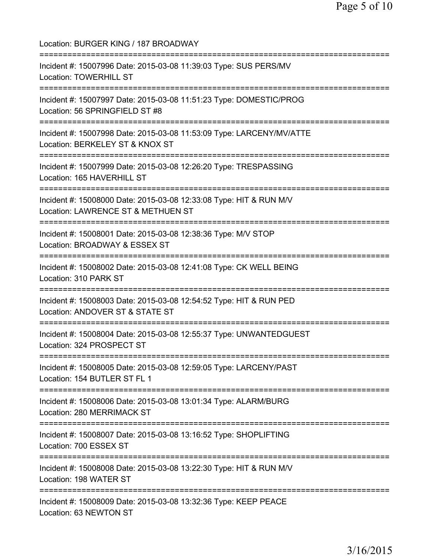Location: BURGER KING / 187 BROADWAY =========================================================================== Incident #: 15007996 Date: 2015-03-08 11:39:03 Type: SUS PERS/MV Location: TOWERHILL ST =========================================================================== Incident #: 15007997 Date: 2015-03-08 11:51:23 Type: DOMESTIC/PROG Location: 56 SPRINGFIELD ST #8 =========================================================================== Incident #: 15007998 Date: 2015-03-08 11:53:09 Type: LARCENY/MV/ATTE Location: BERKELEY ST & KNOX ST =========================================================================== Incident #: 15007999 Date: 2015-03-08 12:26:20 Type: TRESPASSING Location: 165 HAVERHILL ST =========================================================================== Incident #: 15008000 Date: 2015-03-08 12:33:08 Type: HIT & RUN M/V Location: LAWRENCE ST & METHUEN ST =========================================================================== Incident #: 15008001 Date: 2015-03-08 12:38:36 Type: M/V STOP Location: BROADWAY & ESSEX ST =========================================================================== Incident #: 15008002 Date: 2015-03-08 12:41:08 Type: CK WELL BEING Location: 310 PARK ST =========================================================================== Incident #: 15008003 Date: 2015-03-08 12:54:52 Type: HIT & RUN PED Location: ANDOVER ST & STATE ST =========================================================================== Incident #: 15008004 Date: 2015-03-08 12:55:37 Type: UNWANTEDGUEST Location: 324 PROSPECT ST =========================================================================== Incident #: 15008005 Date: 2015-03-08 12:59:05 Type: LARCENY/PAST Location: 154 BUTLER ST FL 1 =========================================================================== Incident #: 15008006 Date: 2015-03-08 13:01:34 Type: ALARM/BURG Location: 280 MERRIMACK ST =========================================================================== Incident #: 15008007 Date: 2015-03-08 13:16:52 Type: SHOPLIFTING Location: 700 ESSEX ST =========================================================================== Incident #: 15008008 Date: 2015-03-08 13:22:30 Type: HIT & RUN M/V Location: 198 WATER ST =========================================================================== Incident #: 15008009 Date: 2015-03-08 13:32:36 Type: KEEP PEACE Location: 63 NEWTON ST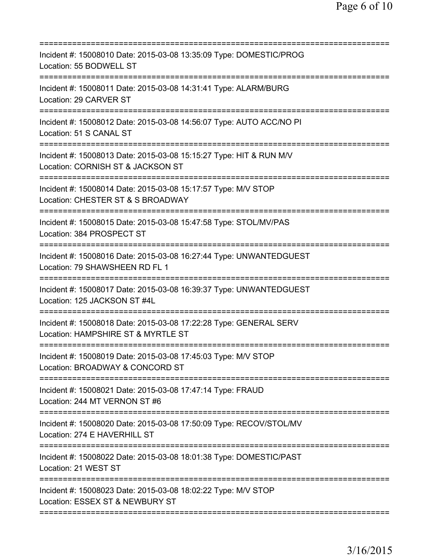| Incident #: 15008010 Date: 2015-03-08 13:35:09 Type: DOMESTIC/PROG<br>Location: 55 BODWELL ST                                                      |
|----------------------------------------------------------------------------------------------------------------------------------------------------|
| Incident #: 15008011 Date: 2015-03-08 14:31:41 Type: ALARM/BURG<br>Location: 29 CARVER ST                                                          |
| Incident #: 15008012 Date: 2015-03-08 14:56:07 Type: AUTO ACC/NO PI<br>Location: 51 S CANAL ST                                                     |
| Incident #: 15008013 Date: 2015-03-08 15:15:27 Type: HIT & RUN M/V<br>Location: CORNISH ST & JACKSON ST<br>===========================             |
| Incident #: 15008014 Date: 2015-03-08 15:17:57 Type: M/V STOP<br>Location: CHESTER ST & S BROADWAY                                                 |
| Incident #: 15008015 Date: 2015-03-08 15:47:58 Type: STOL/MV/PAS<br>Location: 384 PROSPECT ST                                                      |
| Incident #: 15008016 Date: 2015-03-08 16:27:44 Type: UNWANTEDGUEST<br>Location: 79 SHAWSHEEN RD FL 1<br>=========================<br>============= |
| Incident #: 15008017 Date: 2015-03-08 16:39:37 Type: UNWANTEDGUEST<br>Location: 125 JACKSON ST #4L                                                 |
| Incident #: 15008018 Date: 2015-03-08 17:22:28 Type: GENERAL SERV<br>Location: HAMPSHIRE ST & MYRTLE ST                                            |
| Incident #: 15008019 Date: 2015-03-08 17:45:03 Type: M/V STOP<br>Location: BROADWAY & CONCORD ST                                                   |
| Incident #: 15008021 Date: 2015-03-08 17:47:14 Type: FRAUD<br>Location: 244 MT VERNON ST #6                                                        |
| Incident #: 15008020 Date: 2015-03-08 17:50:09 Type: RECOV/STOL/MV<br>Location: 274 E HAVERHILL ST                                                 |
| Incident #: 15008022 Date: 2015-03-08 18:01:38 Type: DOMESTIC/PAST<br>Location: 21 WEST ST                                                         |
| Incident #: 15008023 Date: 2015-03-08 18:02:22 Type: M/V STOP<br>Location: ESSEX ST & NEWBURY ST                                                   |
|                                                                                                                                                    |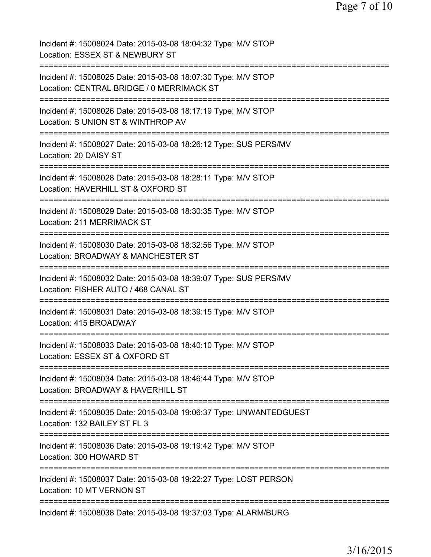| Incident #: 15008024 Date: 2015-03-08 18:04:32 Type: M/V STOP<br>Location: ESSEX ST & NEWBURY ST                     |
|----------------------------------------------------------------------------------------------------------------------|
| Incident #: 15008025 Date: 2015-03-08 18:07:30 Type: M/V STOP<br>Location: CENTRAL BRIDGE / 0 MERRIMACK ST           |
| Incident #: 15008026 Date: 2015-03-08 18:17:19 Type: M/V STOP<br>Location: S UNION ST & WINTHROP AV                  |
| :===================<br>Incident #: 15008027 Date: 2015-03-08 18:26:12 Type: SUS PERS/MV<br>Location: 20 DAISY ST    |
| -------------<br>Incident #: 15008028 Date: 2015-03-08 18:28:11 Type: M/V STOP<br>Location: HAVERHILL ST & OXFORD ST |
| Incident #: 15008029 Date: 2015-03-08 18:30:35 Type: M/V STOP<br>Location: 211 MERRIMACK ST                          |
| Incident #: 15008030 Date: 2015-03-08 18:32:56 Type: M/V STOP<br>Location: BROADWAY & MANCHESTER ST                  |
| Incident #: 15008032 Date: 2015-03-08 18:39:07 Type: SUS PERS/MV<br>Location: FISHER AUTO / 468 CANAL ST             |
| Incident #: 15008031 Date: 2015-03-08 18:39:15 Type: M/V STOP<br>Location: 415 BROADWAY                              |
| Incident #: 15008033 Date: 2015-03-08 18:40:10 Type: M/V STOP<br>Location: ESSEX ST & OXFORD ST                      |
| Incident #: 15008034 Date: 2015-03-08 18:46:44 Type: M/V STOP<br>Location: BROADWAY & HAVERHILL ST                   |
| Incident #: 15008035 Date: 2015-03-08 19:06:37 Type: UNWANTEDGUEST<br>Location: 132 BAILEY ST FL 3                   |
| Incident #: 15008036 Date: 2015-03-08 19:19:42 Type: M/V STOP<br>Location: 300 HOWARD ST                             |
| Incident #: 15008037 Date: 2015-03-08 19:22:27 Type: LOST PERSON<br>Location: 10 MT VERNON ST                        |
| Incident #: 15008038 Date: 2015-03-08 19:37:03 Type: ALARM/BURG                                                      |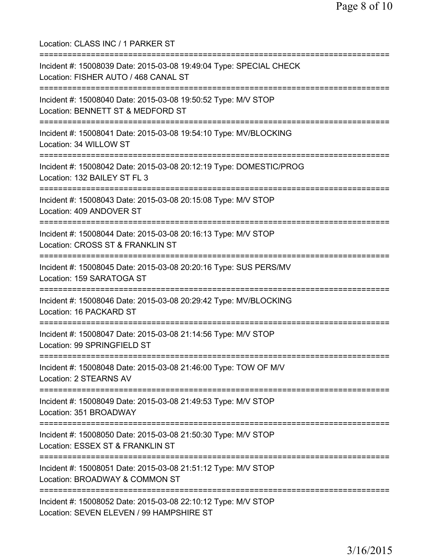| Location: CLASS INC / 1 PARKER ST                                                                                                             |
|-----------------------------------------------------------------------------------------------------------------------------------------------|
| Incident #: 15008039 Date: 2015-03-08 19:49:04 Type: SPECIAL CHECK<br>Location: FISHER AUTO / 468 CANAL ST<br>=============================== |
| Incident #: 15008040 Date: 2015-03-08 19:50:52 Type: M/V STOP<br>Location: BENNETT ST & MEDFORD ST<br>===============================         |
| Incident #: 15008041 Date: 2015-03-08 19:54:10 Type: MV/BLOCKING<br>Location: 34 WILLOW ST                                                    |
| Incident #: 15008042 Date: 2015-03-08 20:12:19 Type: DOMESTIC/PROG<br>Location: 132 BAILEY ST FL 3                                            |
| Incident #: 15008043 Date: 2015-03-08 20:15:08 Type: M/V STOP<br>Location: 409 ANDOVER ST                                                     |
| Incident #: 15008044 Date: 2015-03-08 20:16:13 Type: M/V STOP<br>Location: CROSS ST & FRANKLIN ST<br>===========================              |
| Incident #: 15008045 Date: 2015-03-08 20:20:16 Type: SUS PERS/MV<br>Location: 159 SARATOGA ST                                                 |
| Incident #: 15008046 Date: 2015-03-08 20:29:42 Type: MV/BLOCKING<br>Location: 16 PACKARD ST                                                   |
| Incident #: 15008047 Date: 2015-03-08 21:14:56 Type: M/V STOP<br>Location: 99 SPRINGFIELD ST                                                  |
| Incident #: 15008048 Date: 2015-03-08 21:46:00 Type: TOW OF M/V<br>Location: 2 STEARNS AV                                                     |
| Incident #: 15008049 Date: 2015-03-08 21:49:53 Type: M/V STOP<br>Location: 351 BROADWAY                                                       |
| Incident #: 15008050 Date: 2015-03-08 21:50:30 Type: M/V STOP<br>Location: ESSEX ST & FRANKLIN ST                                             |
| Incident #: 15008051 Date: 2015-03-08 21:51:12 Type: M/V STOP<br>Location: BROADWAY & COMMON ST                                               |
| Incident #: 15008052 Date: 2015-03-08 22:10:12 Type: M/V STOP<br>Location: SEVEN ELEVEN / 99 HAMPSHIRE ST                                     |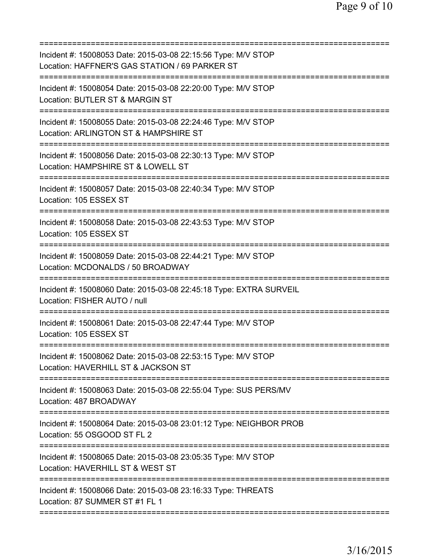| Incident #: 15008053 Date: 2015-03-08 22:15:56 Type: M/V STOP<br>Location: HAFFNER'S GAS STATION / 69 PARKER ST             |
|-----------------------------------------------------------------------------------------------------------------------------|
| Incident #: 15008054 Date: 2015-03-08 22:20:00 Type: M/V STOP<br>Location: BUTLER ST & MARGIN ST                            |
| Incident #: 15008055 Date: 2015-03-08 22:24:46 Type: M/V STOP<br>Location: ARLINGTON ST & HAMPSHIRE ST                      |
| Incident #: 15008056 Date: 2015-03-08 22:30:13 Type: M/V STOP<br>Location: HAMPSHIRE ST & LOWELL ST                         |
| Incident #: 15008057 Date: 2015-03-08 22:40:34 Type: M/V STOP<br>Location: 105 ESSEX ST                                     |
| Incident #: 15008058 Date: 2015-03-08 22:43:53 Type: M/V STOP<br>Location: 105 ESSEX ST                                     |
| Incident #: 15008059 Date: 2015-03-08 22:44:21 Type: M/V STOP<br>Location: MCDONALDS / 50 BROADWAY                          |
| Incident #: 15008060 Date: 2015-03-08 22:45:18 Type: EXTRA SURVEIL<br>Location: FISHER AUTO / null                          |
| ================================<br>Incident #: 15008061 Date: 2015-03-08 22:47:44 Type: M/V STOP<br>Location: 105 ESSEX ST |
| Incident #: 15008062 Date: 2015-03-08 22:53:15 Type: M/V STOP<br>Location: HAVERHILL ST & JACKSON ST                        |
| Incident #: 15008063 Date: 2015-03-08 22:55:04 Type: SUS PERS/MV<br>Location: 487 BROADWAY                                  |
| Incident #: 15008064 Date: 2015-03-08 23:01:12 Type: NEIGHBOR PROB<br>Location: 55 OSGOOD ST FL 2                           |
| Incident #: 15008065 Date: 2015-03-08 23:05:35 Type: M/V STOP<br>Location: HAVERHILL ST & WEST ST                           |
| Incident #: 15008066 Date: 2015-03-08 23:16:33 Type: THREATS<br>Location: 87 SUMMER ST #1 FL 1                              |
|                                                                                                                             |